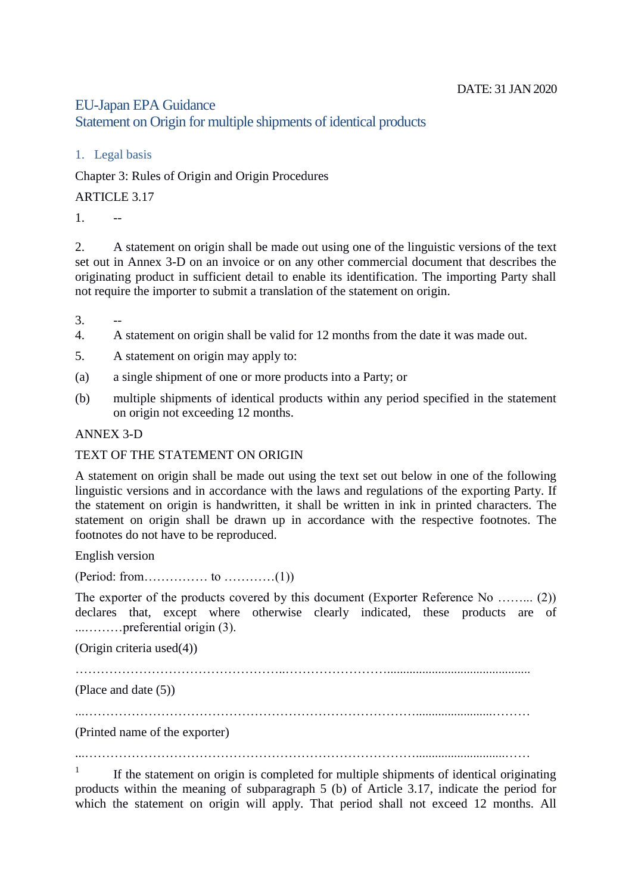## EU-Japan EPA Guidance

Statement on Origin for multiple shipments of identical products

1. Legal basis

Chapter 3: Rules of Origin and Origin Procedures

ARTICLE 3.17

 $1 \qquad -$ 

2. A statement on origin shall be made out using one of the linguistic versions of the text set out in Annex 3-D on an invoice or on any other commercial document that describes the originating product in sufficient detail to enable its identification. The importing Party shall not require the importer to submit a translation of the statement on origin.

 $\overline{3}$ .

- 4. A statement on origin shall be valid for 12 months from the date it was made out.
- 5. A statement on origin may apply to:
- (a) a single shipment of one or more products into a Party; or
- (b) multiple shipments of identical products within any period specified in the statement on origin not exceeding 12 months.

ANNEX 3-D

## TEXT OF THE STATEMENT ON ORIGIN

A statement on origin shall be made out using the text set out below in one of the following linguistic versions and in accordance with the laws and regulations of the exporting Party. If the statement on origin is handwritten, it shall be written in ink in printed characters. The statement on origin shall be drawn up in accordance with the respective footnotes. The footnotes do not have to be reproduced.

English version

(Period: from…………… to …………(1))

The exporter of the products covered by this document (Exporter Reference No ......... (2)) declares that, except where otherwise clearly indicated, these products are of ...………preferential origin (3).

(Origin criteria used(4))

(Place and date (5))

...……………………………………………………………………........................………

(Printed name of the exporter)

...……………………………………………………………………............................……

1 If the statement on origin is completed for multiple shipments of identical originating products within the meaning of subparagraph 5 (b) of Article 3.17, indicate the period for which the statement on origin will apply. That period shall not exceed 12 months. All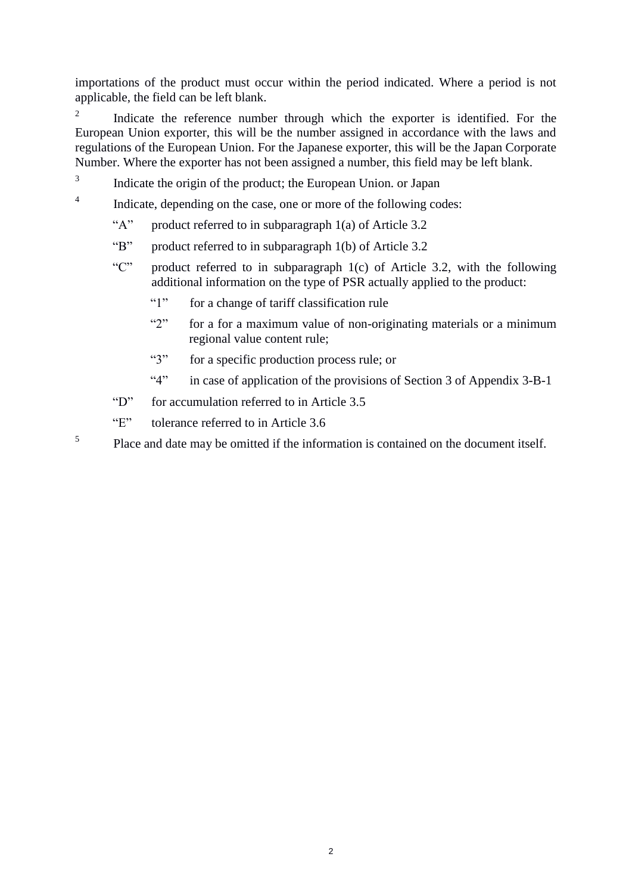importations of the product must occur within the period indicated. Where a period is not applicable, the field can be left blank.

 $\overline{2}$ Indicate the reference number through which the exporter is identified. For the European Union exporter, this will be the number assigned in accordance with the laws and regulations of the European Union. For the Japanese exporter, this will be the Japan Corporate Number. Where the exporter has not been assigned a number, this field may be left blank.

- 3 Indicate the origin of the product; the European Union. or Japan
- 4 Indicate, depending on the case, one or more of the following codes:
	- "A" product referred to in subparagraph 1(a) of Article 3.2
	- "B" product referred to in subparagraph 1(b) of Article 3.2
	- "C" product referred to in subparagraph 1(c) of Article 3.2, with the following additional information on the type of PSR actually applied to the product:
		- "1" for a change of tariff classification rule
		- "2" for a for a maximum value of non-originating materials or a minimum regional value content rule;
		- "3" for a specific production process rule; or
		- "4" in case of application of the provisions of Section 3 of Appendix 3-B-1
	- "D" for accumulation referred to in Article 3.5
	- "E" tolerance referred to in Article 3.6
- 5 Place and date may be omitted if the information is contained on the document itself.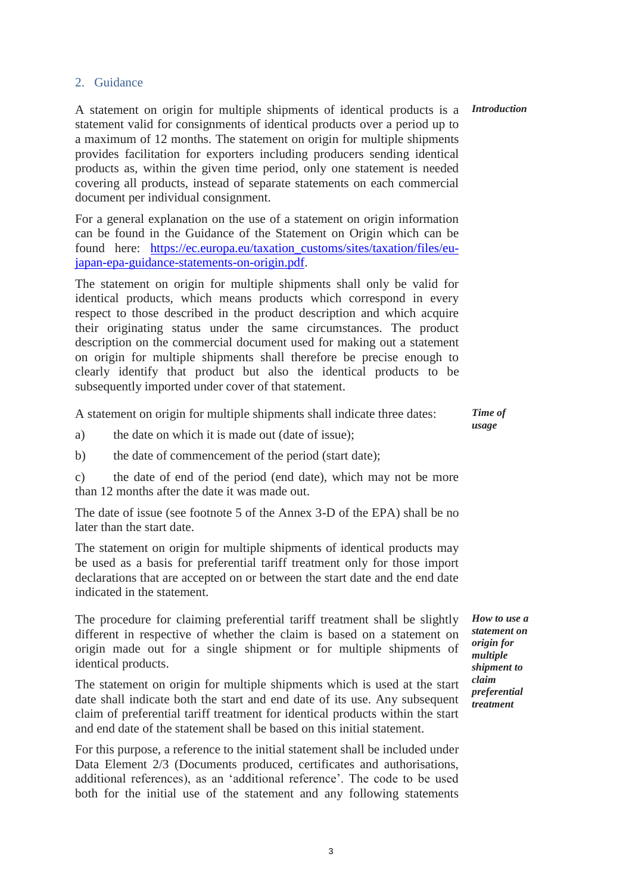## 2. Guidance

A statement on origin for multiple shipments of identical products is a statement valid for consignments of identical products over a period up to a maximum of 12 months. The statement on origin for multiple shipments provides facilitation for exporters including producers sending identical products as, within the given time period, only one statement is needed covering all products, instead of separate statements on each commercial document per individual consignment.

For a general explanation on the use of a statement on origin information can be found in the Guidance of the Statement on Origin which can be found here: https://ec.europa.eu/taxation customs/sites/taxation/files/eu[japan-epa-guidance-statements-on-origin.pdf.](https://ec.europa.eu/taxation_customs/sites/taxation/files/eu-japan-epa-guidance-statements-on-origin.pdf)

The statement on origin for multiple shipments shall only be valid for identical products, which means products which correspond in every respect to those described in the product description and which acquire their originating status under the same circumstances. The product description on the commercial document used for making out a statement on origin for multiple shipments shall therefore be precise enough to clearly identify that product but also the identical products to be subsequently imported under cover of that statement.

A statement on origin for multiple shipments shall indicate three dates:

a) the date on which it is made out (date of issue);

b) the date of commencement of the period (start date);

c) the date of end of the period (end date), which may not be more than 12 months after the date it was made out.

The date of issue (see footnote 5 of the Annex 3-D of the EPA) shall be no later than the start date.

The statement on origin for multiple shipments of identical products may be used as a basis for preferential tariff treatment only for those import declarations that are accepted on or between the start date and the end date indicated in the statement.

The procedure for claiming preferential tariff treatment shall be slightly different in respective of whether the claim is based on a statement on origin made out for a single shipment or for multiple shipments of identical products.

The statement on origin for multiple shipments which is used at the start date shall indicate both the start and end date of its use. Any subsequent claim of preferential tariff treatment for identical products within the start and end date of the statement shall be based on this initial statement.

For this purpose, a reference to the initial statement shall be included under Data Element 2/3 (Documents produced, certificates and authorisations, additional references), as an 'additional reference'. The code to be used both for the initial use of the statement and any following statements

*Introduction*

*How to use a statement on origin for multiple shipment to claim preferential treatment*

*Time of usage*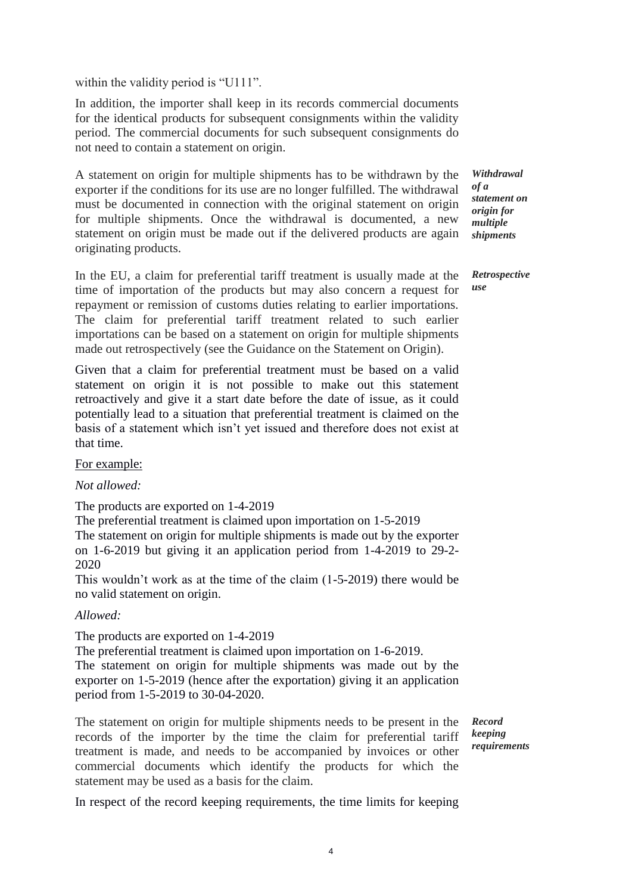within the validity period is "U111".

In addition, the importer shall keep in its records commercial documents for the identical products for subsequent consignments within the validity period. The commercial documents for such subsequent consignments do not need to contain a statement on origin.

A statement on origin for multiple shipments has to be withdrawn by the exporter if the conditions for its use are no longer fulfilled. The withdrawal must be documented in connection with the original statement on origin for multiple shipments. Once the withdrawal is documented, a new statement on origin must be made out if the delivered products are again originating products.

In the EU, a claim for preferential tariff treatment is usually made at the time of importation of the products but may also concern a request for repayment or remission of customs duties relating to earlier importations. The claim for preferential tariff treatment related to such earlier importations can be based on a statement on origin for multiple shipments made out retrospectively (see the Guidance on the Statement on Origin).

Given that a claim for preferential treatment must be based on a valid statement on origin it is not possible to make out this statement retroactively and give it a start date before the date of issue, as it could potentially lead to a situation that preferential treatment is claimed on the basis of a statement which isn't yet issued and therefore does not exist at that time.

For example:

*Not allowed:* 

The products are exported on 1-4-2019

The preferential treatment is claimed upon importation on 1-5-2019 The statement on origin for multiple shipments is made out by the exporter on 1-6-2019 but giving it an application period from 1-4-2019 to 29-2- 2020

This wouldn't work as at the time of the claim (1-5-2019) there would be no valid statement on origin.

## *Allowed:*

The products are exported on 1-4-2019

The preferential treatment is claimed upon importation on 1-6-2019. The statement on origin for multiple shipments was made out by the exporter on 1-5-2019 (hence after the exportation) giving it an application period from 1-5-2019 to 30-04-2020.

The statement on origin for multiple shipments needs to be present in the records of the importer by the time the claim for preferential tariff treatment is made, and needs to be accompanied by invoices or other commercial documents which identify the products for which the statement may be used as a basis for the claim.

*Record keeping requirements*

In respect of the record keeping requirements, the time limits for keeping

*Withdrawal of a statement on origin for multiple shipments*

*Retrospective use*